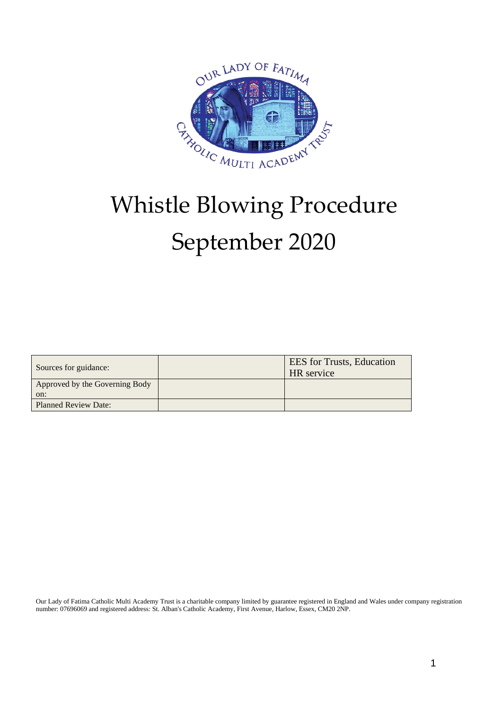

# Whistle Blowing Procedure September 2020

| Sources for guidance:          | <b>EES</b> for Trusts, Education<br><b>HR</b> service |
|--------------------------------|-------------------------------------------------------|
| Approved by the Governing Body |                                                       |
| on:                            |                                                       |
| <b>Planned Review Date:</b>    |                                                       |

Our Lady of Fatima Catholic Multi Academy Trust is a charitable company limited by guarantee registered in England and Wales under company registration number: 07696069 and registered address: St. Alban's Catholic Academy, First Avenue, Harlow, Essex, CM20 2NP.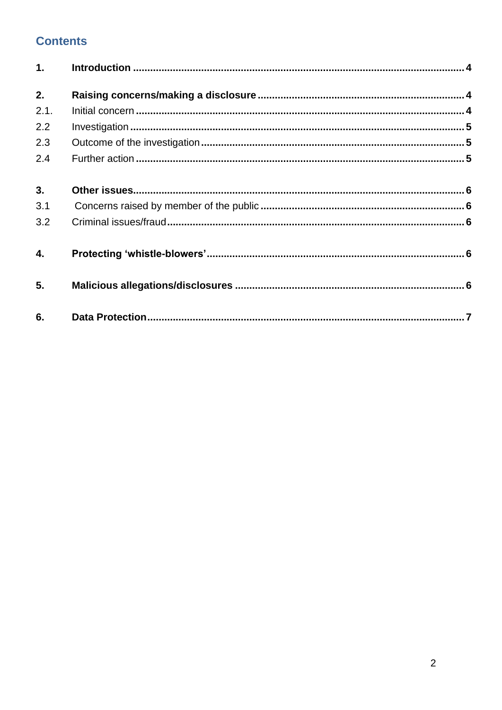# **Contents**

| 1.   |  |
|------|--|
| 2.   |  |
| 2.1. |  |
| 2.2  |  |
| 2.3  |  |
| 2.4  |  |
| 3.   |  |
| 3.1  |  |
| 3.2  |  |
| 4.   |  |
| 5.   |  |
| 6.   |  |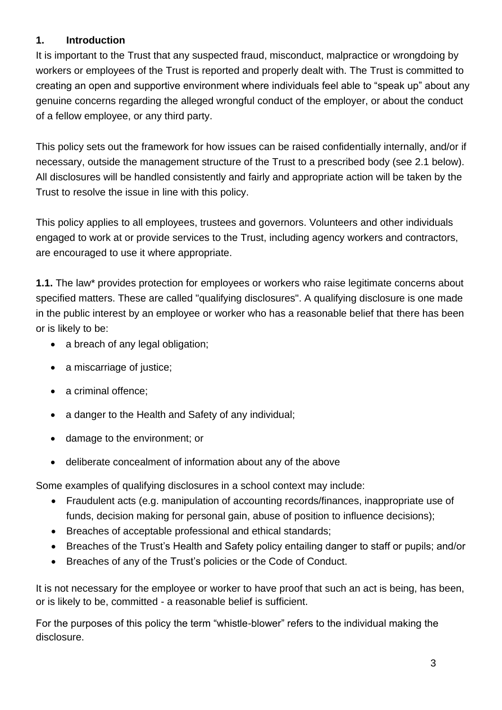#### **1. Introduction**

It is important to the Trust that any suspected fraud, misconduct, malpractice or wrongdoing by workers or employees of the Trust is reported and properly dealt with. The Trust is committed to creating an open and supportive environment where individuals feel able to "speak up" about any genuine concerns regarding the alleged wrongful conduct of the employer, or about the conduct of a fellow employee, or any third party.

This policy sets out the framework for how issues can be raised confidentially internally, and/or if necessary, outside the management structure of the Trust to a prescribed body (see 2.1 below). All disclosures will be handled consistently and fairly and appropriate action will be taken by the Trust to resolve the issue in line with this policy.

This policy applies to all employees, trustees and governors. Volunteers and other individuals engaged to work at or provide services to the Trust, including agency workers and contractors, are encouraged to use it where appropriate.

**1.1.** The law\* provides protection for employees or workers who raise legitimate concerns about specified matters. These are called "qualifying disclosures". A qualifying disclosure is one made in the public interest by an employee or worker who has a reasonable belief that there has been or is likely to be:

- a breach of any legal obligation;
- a miscarriage of justice;
- a criminal offence;
- a danger to the Health and Safety of any individual;
- damage to the environment; or
- deliberate concealment of information about any of the above

Some examples of qualifying disclosures in a school context may include:

- Fraudulent acts (e.g. manipulation of accounting records/finances, inappropriate use of funds, decision making for personal gain, abuse of position to influence decisions);
- Breaches of acceptable professional and ethical standards;
- Breaches of the Trust's Health and Safety policy entailing danger to staff or pupils; and/or
- Breaches of any of the Trust's policies or the Code of Conduct.

It is not necessary for the employee or worker to have proof that such an act is being, has been, or is likely to be, committed - a reasonable belief is sufficient.

For the purposes of this policy the term "whistle-blower" refers to the individual making the disclosure.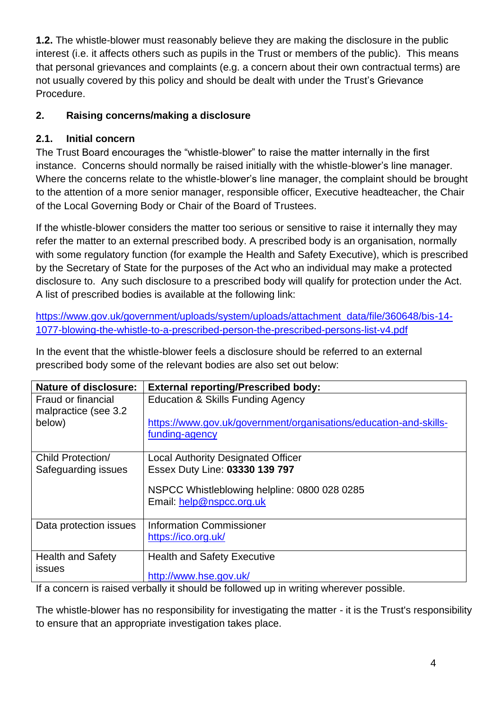**1.2.** The whistle-blower must reasonably believe they are making the disclosure in the public interest (i.e. it affects others such as pupils in the Trust or members of the public). This means that personal grievances and complaints (e.g. a concern about their own contractual terms) are not usually covered by this policy and should be dealt with under the Trust's Grievance Procedure.

## <span id="page-3-0"></span>**2. Raising concerns/making a disclosure**

## <span id="page-3-1"></span>**2.1. Initial concern**

The Trust Board encourages the "whistle-blower" to raise the matter internally in the first instance. Concerns should normally be raised initially with the whistle-blower's line manager. Where the concerns relate to the whistle-blower's line manager, the complaint should be brought to the attention of a more senior manager, responsible officer, Executive headteacher, the Chair of the Local Governing Body or Chair of the Board of Trustees.

If the whistle-blower considers the matter too serious or sensitive to raise it internally they may refer the matter to an external prescribed body. A prescribed body is an organisation, normally with some regulatory function (for example the Health and Safety Executive), which is prescribed by the Secretary of State for the purposes of the Act who an individual may make a protected disclosure to. Any such disclosure to a prescribed body will qualify for protection under the Act. A list of prescribed bodies is available at the following link:

[https://www.gov.uk/government/uploads/system/uploads/attachment\\_data/file/360648/bis-14-](https://www.gov.uk/government/uploads/system/uploads/attachment_data/file/360648/bis-14-1077-blowing-the-whistle-to-a-prescribed-person-the-prescribed-persons-list-v4.pdf) [1077-blowing-the-whistle-to-a-prescribed-person-the-prescribed-persons-list-v4.pdf](https://www.gov.uk/government/uploads/system/uploads/attachment_data/file/360648/bis-14-1077-blowing-the-whistle-to-a-prescribed-person-the-prescribed-persons-list-v4.pdf)

In the event that the whistle-blower feels a disclosure should be referred to an external prescribed body some of the relevant bodies are also set out below:

| <b>Nature of disclosure:</b>               | <b>External reporting/Prescribed body:</b>                                          |
|--------------------------------------------|-------------------------------------------------------------------------------------|
| Fraud or financial<br>malpractice (see 3.2 | <b>Education &amp; Skills Funding Agency</b>                                        |
| below)                                     | https://www.gov.uk/government/organisations/education-and-skills-<br>funding-agency |
|                                            |                                                                                     |
| Child Protection/                          | <b>Local Authority Designated Officer</b>                                           |
| Safeguarding issues                        | Essex Duty Line: 03330 139 797                                                      |
|                                            | NSPCC Whistleblowing helpline: 0800 028 0285                                        |
|                                            | Email: help@nspcc.org.uk                                                            |
| Data protection issues                     | <b>Information Commissioner</b>                                                     |
|                                            | https://ico.org.uk/                                                                 |
| <b>Health and Safety</b>                   | <b>Health and Safety Executive</b>                                                  |
| issues                                     | http://www.hse.gov.uk/                                                              |

If a concern is raised verbally it should be followed up in writing wherever possible.

The whistle-blower has no responsibility for investigating the matter - it is the Trust's responsibility to ensure that an appropriate investigation takes place.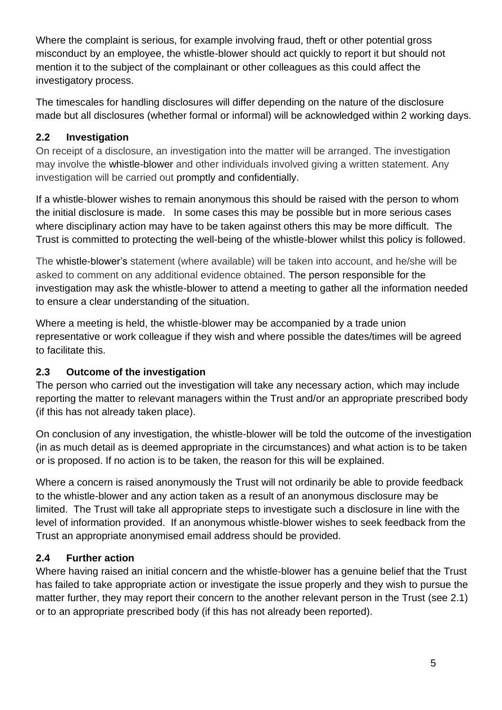Where the complaint is serious, for example involving fraud, theft or other potential gross misconduct by an employee, the whistle-blower should act quickly to report it but should not mention it to the subject of the complainant or other colleagues as this could affect the investigatory process.

The timescales for handling disclosures will differ depending on the nature of the disclosure made but all disclosures (whether formal or informal) will be acknowledged within 2 working days.

#### <span id="page-4-0"></span>**2.2 Investigation**

On receipt of a disclosure, an investigation into the matter will be arranged. The investigation may involve the whistle-blower and other individuals involved giving a written statement. Any investigation will be carried out promptly and confidentially.

If a whistle-blower wishes to remain anonymous this should be raised with the person to whom the initial disclosure is made. In some cases this may be possible but in more serious cases where disciplinary action may have to be taken against others this may be more difficult. The Trust is committed to protecting the well-being of the whistle-blower whilst this policy is followed.

The whistle-blower's statement (where available) will be taken into account, and he/she will be asked to comment on any additional evidence obtained. The person responsible for the investigation may ask the whistle-blower to attend a meeting to gather all the information needed to ensure a clear understanding of the situation.

Where a meeting is held, the whistle-blower may be accompanied by a trade union representative or work colleague if they wish and where possible the dates/times will be agreed to facilitate this.

## <span id="page-4-1"></span>**2.3 Outcome of the investigation**

The person who carried out the investigation will take any necessary action, which may include reporting the matter to relevant managers within the Trust and/or an appropriate prescribed body (if this has not already taken place).

On conclusion of any investigation, the whistle-blower will be told the outcome of the investigation (in as much detail as is deemed appropriate in the circumstances) and what action is to be taken or is proposed. If no action is to be taken, the reason for this will be explained.

Where a concern is raised anonymously the Trust will not ordinarily be able to provide feedback to the whistle-blower and any action taken as a result of an anonymous disclosure may be limited. The Trust will take all appropriate steps to investigate such a disclosure in line with the level of information provided. If an anonymous whistle-blower wishes to seek feedback from the Trust an appropriate anonymised email address should be provided.

## <span id="page-4-2"></span>**2.4 Further action**

Where having raised an initial concern and the whistle-blower has a genuine belief that the Trust has failed to take appropriate action or investigate the issue properly and they wish to pursue the matter further, they may report their concern to the another relevant person in the Trust (see 2.1) or to an appropriate prescribed body (if this has not already been reported).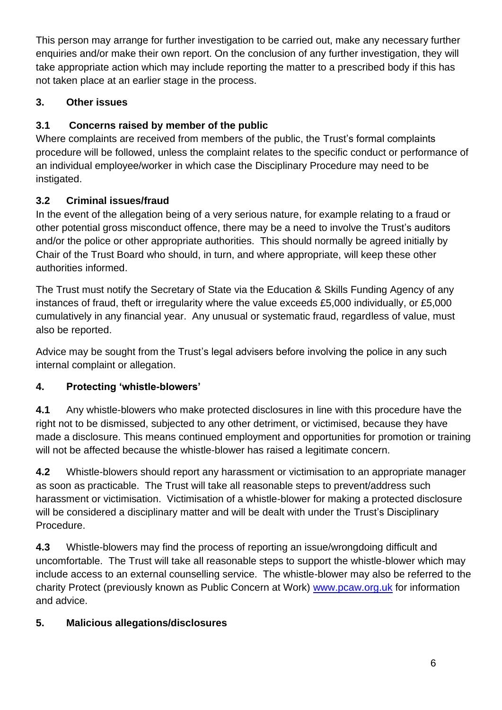This person may arrange for further investigation to be carried out, make any necessary further enquiries and/or make their own report. On the conclusion of any further investigation, they will take appropriate action which may include reporting the matter to a prescribed body if this has not taken place at an earlier stage in the process.

## <span id="page-5-0"></span>**3. Other issues**

## <span id="page-5-1"></span>**3.1 Concerns raised by member of the public**

Where complaints are received from members of the public, the Trust's formal complaints procedure will be followed, unless the complaint relates to the specific conduct or performance of an individual employee/worker in which case the Disciplinary Procedure may need to be instigated.

# <span id="page-5-2"></span>**3.2 Criminal issues/fraud**

In the event of the allegation being of a very serious nature, for example relating to a fraud or other potential gross misconduct offence, there may be a need to involve the Trust's auditors and/or the police or other appropriate authorities. This should normally be agreed initially by Chair of the Trust Board who should, in turn, and where appropriate, will keep these other authorities informed.

The Trust must notify the Secretary of State via the Education & Skills Funding Agency of any instances of fraud, theft or irregularity where the value exceeds £5,000 individually, or £5,000 cumulatively in any financial year. Any unusual or systematic fraud, regardless of value, must also be reported.

Advice may be sought from the Trust's legal advisers before involving the police in any such internal complaint or allegation.

## <span id="page-5-3"></span>**4. Protecting 'whistle-blowers'**

**4.1** Any whistle-blowers who make protected disclosures in line with this procedure have the right not to be dismissed, subjected to any other detriment, or victimised, because they have made a disclosure. This means continued employment and opportunities for promotion or training will not be affected because the whistle-blower has raised a legitimate concern.

**4.2** Whistle-blowers should report any harassment or victimisation to an appropriate manager as soon as practicable. The Trust will take all reasonable steps to prevent/address such harassment or victimisation. Victimisation of a whistle-blower for making a protected disclosure will be considered a disciplinary matter and will be dealt with under the Trust's Disciplinary Procedure.

**4.3** Whistle-blowers may find the process of reporting an issue/wrongdoing difficult and uncomfortable. The Trust will take all reasonable steps to support the whistle-blower which may include access to an external counselling service. The whistle-blower may also be referred to the charity Protect (previously known as Public Concern at Work) [www.pcaw.org.uk](http://www.pcaw.org.uk/) for information and advice.

## <span id="page-5-4"></span>**5. Malicious allegations/disclosures**